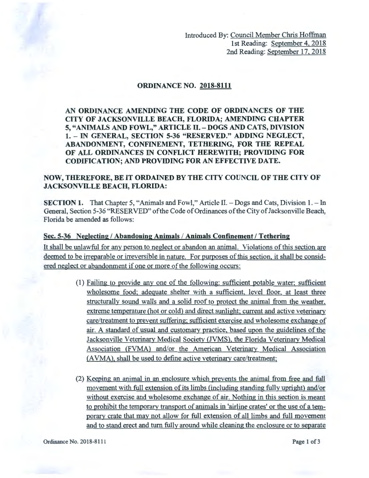Introduced By: Council Member Chris Hoffman 1st Reading: September 4, 2018 2nd Reading: September 17, 2018

## ORDINANCE NO. 2018-8111

AN ORDINANCE AMENDING THE CODE OF ORDINANCES OF THE CITY OF JACKSONVILLE BEACH, FLORIDA; AMENDING CHAPTER 5, "ANIMALS AND FOWL," ARTICLE II. - DOGS AND CATS, DIVISION 1. - IN GENERAL, SECTION 5-36 "RESERVED." ADDING NEGLECT, ABANDONMENT, CONFINEMENT, TETHERING, FOR THE REPEAL OF ALL ORDINANCES IN CONFLICT HEREWITH; PROVIDING FOR CODIFICATION; AND PROVIDING FOR AN EFFECTIVE DATE.

## NOW, THEREFORE, BE IT ORDAINED BY THE CITY COUNCIL OF THE CITY OF JACKSONVILLE BEACH, FLORIDA:

SECTION 1. That Chapter 5, "Animals and Fowl," Article II. - Dogs and Cats, Division 1. - In General, Section 5-36 "RESERVED" of the Code of Ordinances of the City of Jacksonville Beach, Florida be amended as follows:

## Sec. 5-36 Neglecting / Abandoning Animals / Animals Confinement / Tethering

It shall be unlawful for any person to neglect or abandon an animal. Violations of this section are deemed to be irreparable or irreversible in nature. For purposes of this section, it shall be considered neglect or abandonment if one or more of the following occurs:

- (1) Failing to provide any one of the following: sufficient potable water; sufficient wholesome food; adequate shelter with a sufficient, level floor, at least three structurally sound walls and a solid roof to protect the animal from the weather, extreme temperature (hot or cold) and direct sunlight; current and active veterinary care/treatment to prevent suffering; sufficient exercise and wholesome exchange of air. A standard of usual and customary practice, based upon the guidelines of the Jacksonville Veterinary Medical Society (JVMS), the Florida Veterinary Medical Association (FVMA) and/or the American Veterinary Medical Association (A VMA), shall be used to define active veterinary care/treatment;
- (2) Keeping an animal in an enclosure which prevents the animal from free and full movement with full extension of its limbs (including standing fully upright) and/or without exercise and wholesome exchange of air. Nothing in this section is meant to prohibit the temporary transport of animals in 'airline crates' or the use of a temporary crate that may not allow for full extension of all limbs and full movement and to stand erect and tum fully around while cleaning the enclosure or to separate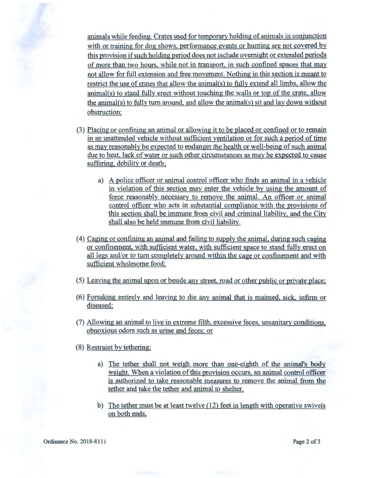animals while feeding. Crates used for temporary holding of animals in conjunction with or training for dog shows, performance events or hunting are not covered by this provision if such holding period does not include overnight or extended periods of more than two hours, while not in transport, in such confined spaces that may not allow for full extension and free movement. Nothing in this section is meant to restrict the use of crates that allow the animal(s) to fully extend all limbs, allow the  $\text{animal(s)}$  to stand fully erect without touching the walls or top of the crate, allow the animal(s) to fully tum around, and allow the animal(s) sit and lay down without obstruction;

- (3) Placing or confining an animal or allowing it to be placed or confined or to remain in an unattended vehicle without sufficient ventilation or for such a period of time as may reasonably be expected to endanger the health or well-being of such animal due to heat, lack of water or such other circumstances as may be expected to cause suffering, debility or death;
	- a) A police officer or animal control officer who finds an animal in a vehicle in violation of this section may enter the vehicle by using the amount of force reasonably necessary to remove the animal. An officer or animal control officer who acts in substantial compliance with the provisions of this section shall be immune from civil and criminal liability, and the City shall also be held immune from civil liability.
- (4) Caging or confining an animal and failing to supply the animal, during such caging or confinement, with sufficient water, with sufficient space to stand fully erect on all legs and/or to tum completely around within the cage or confinement and with sufficient wholesome food;
- (5) Leaving the animal upon or beside any street, road or other public or private place;
- (6) Forsaking entirely and leaving to die any animal that is maimed, sick, infirm or diseased;
- (7) Allowing an animal to live in extreme filth, excessive feces, unsanitary conditions, obnoxious odors such as urine and feces; or
- (8) Restraint by tethering;
	- a) The tether shall not weigh more than one-eighth of the animal's body weight. When a violation of this provision occurs, an animal control officer is authorized to take reasonable measures to remove the animal from the tether and take the tether and animal to shelter,
	- b) The tether must be at least twelve (12) feet in length with operative swivels on both ends,